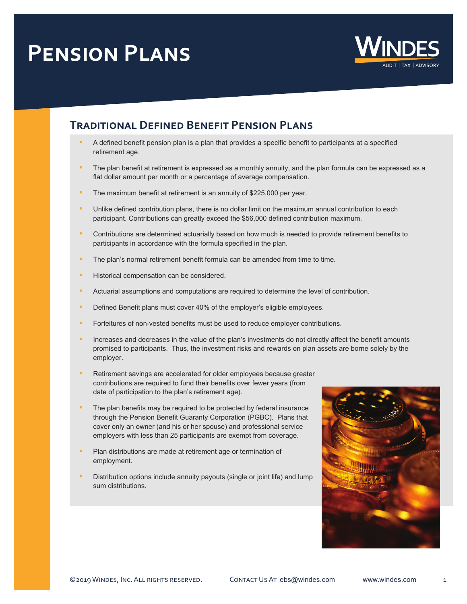## **Pension Plans**



## **Traditional Defined Benefit Pension Plans**

- A defined benefit pension plan is a plan that provides a specific benefit to participants at a specified retirement age.
- The plan benefit at retirement is expressed as a monthly annuity, and the plan formula can be expressed as a flat dollar amount per month or a percentage of average compensation.
- The maximum benefit at retirement is an annuity of \$225,000 per year.
- Unlike defined contribution plans, there is no dollar limit on the maximum annual contribution to each participant. Contributions can greatly exceed the \$56,000 defined contribution maximum.
- Contributions are determined actuarially based on how much is needed to provide retirement benefits to participants in accordance with the formula specified in the plan.
- The plan's normal retirement benefit formula can be amended from time to time.
- **Historical compensation can be considered.**
- Actuarial assumptions and computations are required to determine the level of contribution.
- Defined Benefit plans must cover 40% of the employer's eligible employees.
- Forfeitures of non-vested benefits must be used to reduce employer contributions.
- **Increases** and decreases in the value of the plan's investments do not directly affect the benefit amounts promised to participants. Thus, the investment risks and rewards on plan assets are borne solely by the employer.
- Retirement savings are accelerated for older employees because greater contributions are required to fund their benefits over fewer years (from date of participation to the plan's retirement age).
- The plan benefits may be required to be protected by federal insurance through the Pension Benefit Guaranty Corporation (PGBC). Plans that cover only an owner (and his or her spouse) and professional service employers with less than 25 participants are exempt from coverage.
- Plan distributions are made at retirement age or termination of employment.
- Distribution options include annuity payouts (single or joint life) and lump sum distributions.